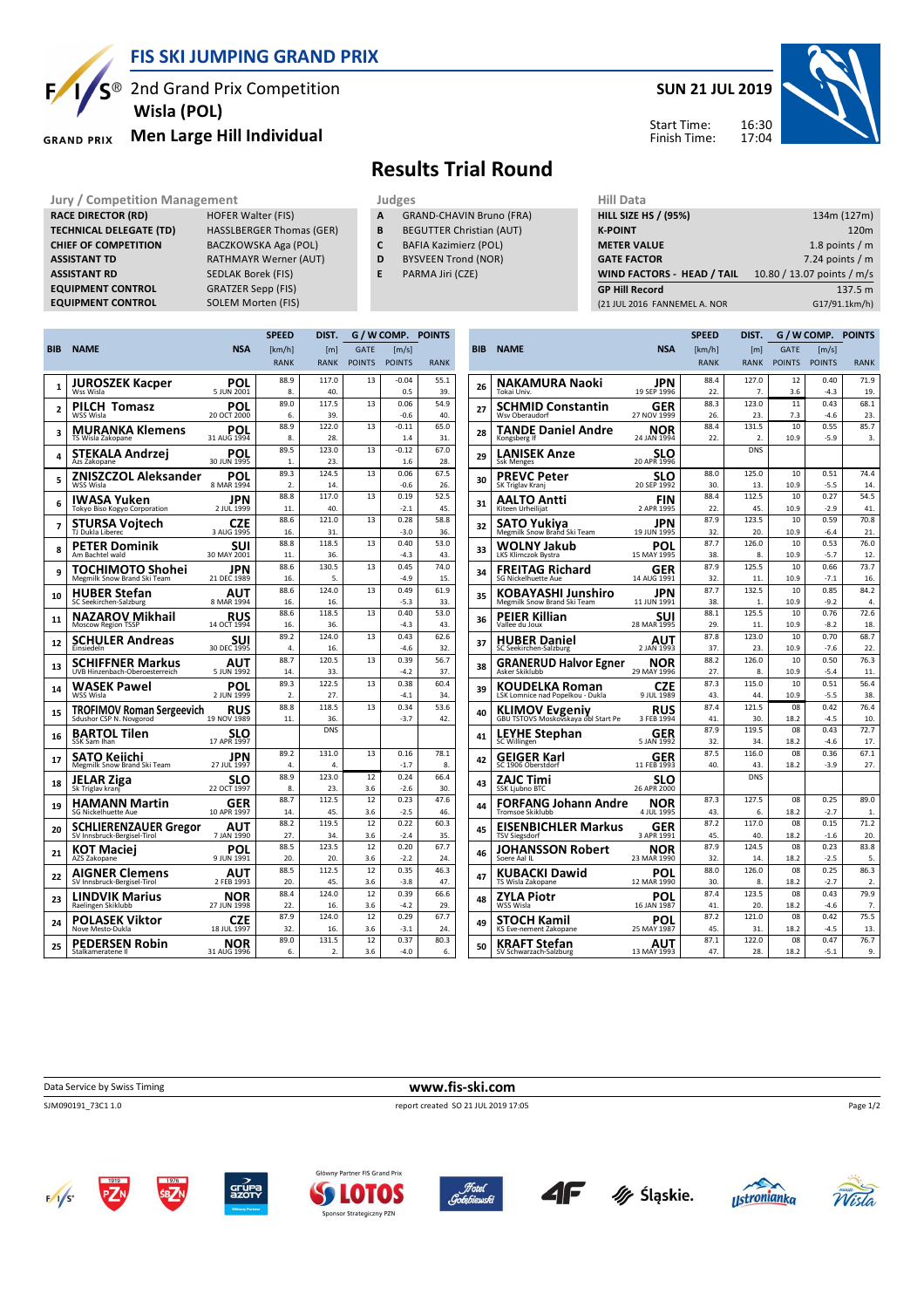

## **FIS SKI JUMPING GRAND PRIX**

 $S^{\circledast}$  2nd Grand Prix Competition  **Wisla (POL)**

#### **Men Large Hill Individual GRAND PRIX**

**RACE DIRECTOR (RD) HOFER Walter (FIS) TECHNICAL DELEGATE (TD)** HASSLBERGER Thomas (GER) **CHIEF OF COMPETITION** BACZKOWSKA Aga (POL) **ASSISTANT TD** RATHMAYR Werner (AUT) **ASSISTANT RD** SEDLAK Borek (FIS) **EQUIPMENT CONTROL** GRATZER Sepp (FIS) **EQUIPMENT CONTROL** SOLEM Morten (FIS)

### **SUN 21 JUL 2019**



Start Time: Finish Time:

# **Results Trial Round**

**Jury / Competition Management Management According Service Computer** Judges Mill Data

- **A** GRAND-CHAVIN Bruno (FRA)
- **B** BEGUTTER Christian (AUT)
- **C** BAFIA Kazimierz (POL) **D** BYSVEEN Trond (NOR)
	-
- **E** PARMA Jiri (CZE)

| <b>HILL SIZE HS / (95%)</b>  | 134m (127m)                |
|------------------------------|----------------------------|
| <b>K-POINT</b>               | 120 <sub>m</sub>           |
| <b>METER VALUE</b>           | 1.8 points $/m$            |
| <b>GATE FACTOR</b>           | 7.24 points $/m$           |
| WIND FACTORS - HEAD / TAIL   | 10.80 / 13.07 points / m/s |
| <b>GP Hill Record</b>        | 137.5 m                    |
| (21 JUL 2016 FANNEMEL A. NOR | G17/91.1km/h)              |
|                              |                            |

| <b>NAME</b><br><b>NSA</b><br><b>GATE</b><br>[km/h]<br>$\lceil m/s \rceil$<br>[m]<br><b>RANK</b><br><b>POINTS</b><br><b>POINTS</b><br><b>RANK</b><br><b>RANK</b><br>88.9<br>117.0<br>13<br>$-0.04$<br>55.1<br>JUROSZEK Kacper<br>POL<br>1<br>5 JUN 2001<br>Wss Wisla<br>8.<br>40.<br>0.5<br>39.<br>89.0<br>117.5<br>13<br>0.06<br>54.9<br>PILCH Tomasz<br>POL<br>$\overline{a}$<br>WSS Wisla<br>20 OCT 2000<br>6.<br>39.<br>$-0.6$<br>40<br>88.9<br>122.0<br>13<br>$-0.11$<br>65.0<br>POL<br>MURANKA Klemens<br>3<br>31 AUG 1994<br>TS Wisla Zakopane<br>8.<br>28.<br>1.4<br>31.<br>89.5<br>123.0<br>13<br>$-0.12$<br>67.0<br>STEKALA Andrzei<br>POL<br>4<br>30 JUN 1995<br>28.<br>Azs Zakopane<br>23.<br>1.6<br>1.<br>89.3<br>67.5<br>124.5<br>13<br>0.06<br>ZNISZCZOL Aleksander<br>POL<br>5<br>WSS Wisla<br>8 MAR 1994<br>$\mathfrak{D}$<br>14.<br>$-0.6$<br>26.<br>88.8<br>117.0<br>13<br>0.19<br>52.5<br>JPN<br>IWASA Yuken<br>6<br>2 JUL 1999<br>40.<br>45.<br>Tokyo Biso Kogyo Corporation<br>11.<br>$-2.1$<br>0.28<br>88.6<br>121.0<br>13<br>58.8<br><b>CZE</b><br>STURSA Vojtech<br>7<br>TJ Dukla Liberec<br>3 AUG 1995<br>16.<br>31.<br>$-3.0$<br>36.<br>88.8<br>118.5<br>13<br>0.40<br>53.0<br>PETER Dominik<br>SUI<br>8<br>30 MAY 2001<br>Am Bachtel wald<br>36.<br>$-4.3$<br>43.<br>11.<br>88.6<br>130.5<br>13<br>0.45<br>74.0<br>JPN<br><b>TOCHIMOTO Shohei</b><br>Megmilk Snow Brand Ski Team<br>9<br>21 DEC 1989<br>5.<br>$-4.9$<br>15.<br>16.<br>88.6<br>124.0<br>13<br>0.49<br>61.9<br>AUT<br>HUBER Stefan<br>10<br>$-5.3$<br>8 MAR 1994<br>16.<br>16.<br>33.<br>SC Seekirchen-Salzburg<br>88.6<br>118.5<br>13<br>0.40<br>53.0<br><b>NAZAROV Mikhail</b><br><b>RUS</b><br>14 OCT 1994<br>11<br><b>Moscow Region TSSP</b><br>36.<br>$-4.3$<br>43.<br>16.<br>89.2<br>124.0<br>13<br>0.43<br>62.6<br>SUI<br>SCHULER Andreas<br>12<br>30 DEC 1995<br>$-4.6$<br>32.<br>Finsiedeln<br>4.<br>16.<br>88.7<br>120.5<br>0.39<br>56.7<br>13<br>SCHIFFNER Markus<br>AUT<br>13<br>UVB Hinzenbach-Oberoesterreich<br>5 JUN 1992<br>37.<br>14.<br>33.<br>$-4.2$<br>89.3<br>122.5<br>13<br>0.38<br>60.4<br>WASEK Pawel<br>POL<br>14<br>2 JUN 1999<br>2.<br>27.<br>34.<br>WSS Wisla<br>$-4.1$<br>88.8<br>118.5<br>13<br>0.34<br>53.6<br><b>RUS</b><br><b>TROFIMOV Roman Sergeevich</b><br>15<br>Sdushor CSP N. Novgorod<br>19 NOV 1989<br>11.<br>36.<br>$-3.7$<br>42.<br><b>DNS</b><br>BARTOL Tilen<br>SLO<br>16<br>17 APR 1997<br>SSK Sam Ihan<br>89.2<br>131.0<br>13<br>0.16<br>78.1<br>JPN<br>SATO Keiichi<br>17<br>Megmilk Snow Brand Ski Team<br>27 JUL 1997<br>4.<br>$-1.7$<br>4.<br>8.<br>88.9<br>123.0<br>0.24<br>66.4<br>12<br>SLO<br>JELAR Ziga<br>18<br>22 OCT 1997<br>8.<br>3.6<br>$-2.6$<br>Sk Triglav kranj<br>23.<br>30.<br>88.7<br>112.5<br>12<br>0.23<br>47.6<br><b>HAMANN Martin</b><br>GER<br>19<br>10 APR 1997<br>45.<br>3.6<br>$-2.5$<br><b>SG Nickelhuette Aue</b><br>14.<br>46.<br>88.2<br>119.5<br>12<br>0.22<br>60.3<br><b>SCHLIERENZAUER Gregor</b><br>AUT<br>20<br>SV Innsbruck-Bergisel-Tirol<br>7 JAN 1990<br>27.<br>34.<br>3.6<br>$-2.4$<br>35.<br>88.5<br>123.5<br>12<br>0.20<br>67.7<br>POL<br>KOT Maciej<br>21<br>AZS Zakopane<br>9 JUN 1991<br>20.<br>20.<br>3.6<br>$-2.2$<br>24.<br>112.5<br>88.5<br>12<br>0.35<br>46.3<br>AIGNER Clemens<br>AUT<br>22<br>SV Innsbruck-Bergisel-Tirol<br>2 FEB 1993<br>20.<br>45.<br>3.6<br>$-3.8$<br>47.<br>88.4<br>124.0<br>12<br>0.39<br>66.6<br>LINDVIK Marius<br>NOR<br>23<br>Raelingen Skiklubb<br>27 JUN 1998<br>29.<br>22.<br>16.<br>3.6<br>$-42$<br>87.9<br>124.0<br>12<br>0.29<br>67.7<br>POLASEK Viktor<br>CZE<br>24<br>Nove Mesto-Dukla<br>18 JUL 1997<br>32.<br>16.<br>3.6<br>$-3.1$<br>24.<br>89.0<br>80.3<br>131.5<br>12<br>0.37<br>PEDERSEN Robin<br>NOR<br>25<br>31 AUG 1996<br>Stalkameratene II<br>6.<br>2.<br>3.6<br>$-4.0$<br>6. |            |  | <b>SPEED</b> | DIST. | G / W COMP. | <b>POINTS</b> |  |
|--------------------------------------------------------------------------------------------------------------------------------------------------------------------------------------------------------------------------------------------------------------------------------------------------------------------------------------------------------------------------------------------------------------------------------------------------------------------------------------------------------------------------------------------------------------------------------------------------------------------------------------------------------------------------------------------------------------------------------------------------------------------------------------------------------------------------------------------------------------------------------------------------------------------------------------------------------------------------------------------------------------------------------------------------------------------------------------------------------------------------------------------------------------------------------------------------------------------------------------------------------------------------------------------------------------------------------------------------------------------------------------------------------------------------------------------------------------------------------------------------------------------------------------------------------------------------------------------------------------------------------------------------------------------------------------------------------------------------------------------------------------------------------------------------------------------------------------------------------------------------------------------------------------------------------------------------------------------------------------------------------------------------------------------------------------------------------------------------------------------------------------------------------------------------------------------------------------------------------------------------------------------------------------------------------------------------------------------------------------------------------------------------------------------------------------------------------------------------------------------------------------------------------------------------------------------------------------------------------------------------------------------------------------------------------------------------------------------------------------------------------------------------------------------------------------------------------------------------------------------------------------------------------------------------------------------------------------------------------------------------------------------------------------------------------------------------------------------------------------------------------------------------------------------------------------------------------------------------------------------------------------------------------------------------------------------------------------------------------------------------------------------------------------------------------------------------------------------------------------------------------------------------------------------------------------------------------------------------------------------------------------------------------------------------------------------------------------------------------------------------------------------------------------------------------------------------|------------|--|--------------|-------|-------------|---------------|--|
|                                                                                                                                                                                                                                                                                                                                                                                                                                                                                                                                                                                                                                                                                                                                                                                                                                                                                                                                                                                                                                                                                                                                                                                                                                                                                                                                                                                                                                                                                                                                                                                                                                                                                                                                                                                                                                                                                                                                                                                                                                                                                                                                                                                                                                                                                                                                                                                                                                                                                                                                                                                                                                                                                                                                                                                                                                                                                                                                                                                                                                                                                                                                                                                                                                                                                                                                                                                                                                                                                                                                                                                                                                                                                                                                                                                                                          | <b>BIB</b> |  |              |       |             |               |  |
|                                                                                                                                                                                                                                                                                                                                                                                                                                                                                                                                                                                                                                                                                                                                                                                                                                                                                                                                                                                                                                                                                                                                                                                                                                                                                                                                                                                                                                                                                                                                                                                                                                                                                                                                                                                                                                                                                                                                                                                                                                                                                                                                                                                                                                                                                                                                                                                                                                                                                                                                                                                                                                                                                                                                                                                                                                                                                                                                                                                                                                                                                                                                                                                                                                                                                                                                                                                                                                                                                                                                                                                                                                                                                                                                                                                                                          |            |  |              |       |             |               |  |
|                                                                                                                                                                                                                                                                                                                                                                                                                                                                                                                                                                                                                                                                                                                                                                                                                                                                                                                                                                                                                                                                                                                                                                                                                                                                                                                                                                                                                                                                                                                                                                                                                                                                                                                                                                                                                                                                                                                                                                                                                                                                                                                                                                                                                                                                                                                                                                                                                                                                                                                                                                                                                                                                                                                                                                                                                                                                                                                                                                                                                                                                                                                                                                                                                                                                                                                                                                                                                                                                                                                                                                                                                                                                                                                                                                                                                          |            |  |              |       |             |               |  |
|                                                                                                                                                                                                                                                                                                                                                                                                                                                                                                                                                                                                                                                                                                                                                                                                                                                                                                                                                                                                                                                                                                                                                                                                                                                                                                                                                                                                                                                                                                                                                                                                                                                                                                                                                                                                                                                                                                                                                                                                                                                                                                                                                                                                                                                                                                                                                                                                                                                                                                                                                                                                                                                                                                                                                                                                                                                                                                                                                                                                                                                                                                                                                                                                                                                                                                                                                                                                                                                                                                                                                                                                                                                                                                                                                                                                                          |            |  |              |       |             |               |  |
|                                                                                                                                                                                                                                                                                                                                                                                                                                                                                                                                                                                                                                                                                                                                                                                                                                                                                                                                                                                                                                                                                                                                                                                                                                                                                                                                                                                                                                                                                                                                                                                                                                                                                                                                                                                                                                                                                                                                                                                                                                                                                                                                                                                                                                                                                                                                                                                                                                                                                                                                                                                                                                                                                                                                                                                                                                                                                                                                                                                                                                                                                                                                                                                                                                                                                                                                                                                                                                                                                                                                                                                                                                                                                                                                                                                                                          |            |  |              |       |             |               |  |
|                                                                                                                                                                                                                                                                                                                                                                                                                                                                                                                                                                                                                                                                                                                                                                                                                                                                                                                                                                                                                                                                                                                                                                                                                                                                                                                                                                                                                                                                                                                                                                                                                                                                                                                                                                                                                                                                                                                                                                                                                                                                                                                                                                                                                                                                                                                                                                                                                                                                                                                                                                                                                                                                                                                                                                                                                                                                                                                                                                                                                                                                                                                                                                                                                                                                                                                                                                                                                                                                                                                                                                                                                                                                                                                                                                                                                          |            |  |              |       |             |               |  |
|                                                                                                                                                                                                                                                                                                                                                                                                                                                                                                                                                                                                                                                                                                                                                                                                                                                                                                                                                                                                                                                                                                                                                                                                                                                                                                                                                                                                                                                                                                                                                                                                                                                                                                                                                                                                                                                                                                                                                                                                                                                                                                                                                                                                                                                                                                                                                                                                                                                                                                                                                                                                                                                                                                                                                                                                                                                                                                                                                                                                                                                                                                                                                                                                                                                                                                                                                                                                                                                                                                                                                                                                                                                                                                                                                                                                                          |            |  |              |       |             |               |  |
|                                                                                                                                                                                                                                                                                                                                                                                                                                                                                                                                                                                                                                                                                                                                                                                                                                                                                                                                                                                                                                                                                                                                                                                                                                                                                                                                                                                                                                                                                                                                                                                                                                                                                                                                                                                                                                                                                                                                                                                                                                                                                                                                                                                                                                                                                                                                                                                                                                                                                                                                                                                                                                                                                                                                                                                                                                                                                                                                                                                                                                                                                                                                                                                                                                                                                                                                                                                                                                                                                                                                                                                                                                                                                                                                                                                                                          |            |  |              |       |             |               |  |
|                                                                                                                                                                                                                                                                                                                                                                                                                                                                                                                                                                                                                                                                                                                                                                                                                                                                                                                                                                                                                                                                                                                                                                                                                                                                                                                                                                                                                                                                                                                                                                                                                                                                                                                                                                                                                                                                                                                                                                                                                                                                                                                                                                                                                                                                                                                                                                                                                                                                                                                                                                                                                                                                                                                                                                                                                                                                                                                                                                                                                                                                                                                                                                                                                                                                                                                                                                                                                                                                                                                                                                                                                                                                                                                                                                                                                          |            |  |              |       |             |               |  |
|                                                                                                                                                                                                                                                                                                                                                                                                                                                                                                                                                                                                                                                                                                                                                                                                                                                                                                                                                                                                                                                                                                                                                                                                                                                                                                                                                                                                                                                                                                                                                                                                                                                                                                                                                                                                                                                                                                                                                                                                                                                                                                                                                                                                                                                                                                                                                                                                                                                                                                                                                                                                                                                                                                                                                                                                                                                                                                                                                                                                                                                                                                                                                                                                                                                                                                                                                                                                                                                                                                                                                                                                                                                                                                                                                                                                                          |            |  |              |       |             |               |  |
|                                                                                                                                                                                                                                                                                                                                                                                                                                                                                                                                                                                                                                                                                                                                                                                                                                                                                                                                                                                                                                                                                                                                                                                                                                                                                                                                                                                                                                                                                                                                                                                                                                                                                                                                                                                                                                                                                                                                                                                                                                                                                                                                                                                                                                                                                                                                                                                                                                                                                                                                                                                                                                                                                                                                                                                                                                                                                                                                                                                                                                                                                                                                                                                                                                                                                                                                                                                                                                                                                                                                                                                                                                                                                                                                                                                                                          |            |  |              |       |             |               |  |
|                                                                                                                                                                                                                                                                                                                                                                                                                                                                                                                                                                                                                                                                                                                                                                                                                                                                                                                                                                                                                                                                                                                                                                                                                                                                                                                                                                                                                                                                                                                                                                                                                                                                                                                                                                                                                                                                                                                                                                                                                                                                                                                                                                                                                                                                                                                                                                                                                                                                                                                                                                                                                                                                                                                                                                                                                                                                                                                                                                                                                                                                                                                                                                                                                                                                                                                                                                                                                                                                                                                                                                                                                                                                                                                                                                                                                          |            |  |              |       |             |               |  |
|                                                                                                                                                                                                                                                                                                                                                                                                                                                                                                                                                                                                                                                                                                                                                                                                                                                                                                                                                                                                                                                                                                                                                                                                                                                                                                                                                                                                                                                                                                                                                                                                                                                                                                                                                                                                                                                                                                                                                                                                                                                                                                                                                                                                                                                                                                                                                                                                                                                                                                                                                                                                                                                                                                                                                                                                                                                                                                                                                                                                                                                                                                                                                                                                                                                                                                                                                                                                                                                                                                                                                                                                                                                                                                                                                                                                                          |            |  |              |       |             |               |  |
|                                                                                                                                                                                                                                                                                                                                                                                                                                                                                                                                                                                                                                                                                                                                                                                                                                                                                                                                                                                                                                                                                                                                                                                                                                                                                                                                                                                                                                                                                                                                                                                                                                                                                                                                                                                                                                                                                                                                                                                                                                                                                                                                                                                                                                                                                                                                                                                                                                                                                                                                                                                                                                                                                                                                                                                                                                                                                                                                                                                                                                                                                                                                                                                                                                                                                                                                                                                                                                                                                                                                                                                                                                                                                                                                                                                                                          |            |  |              |       |             |               |  |
|                                                                                                                                                                                                                                                                                                                                                                                                                                                                                                                                                                                                                                                                                                                                                                                                                                                                                                                                                                                                                                                                                                                                                                                                                                                                                                                                                                                                                                                                                                                                                                                                                                                                                                                                                                                                                                                                                                                                                                                                                                                                                                                                                                                                                                                                                                                                                                                                                                                                                                                                                                                                                                                                                                                                                                                                                                                                                                                                                                                                                                                                                                                                                                                                                                                                                                                                                                                                                                                                                                                                                                                                                                                                                                                                                                                                                          |            |  |              |       |             |               |  |
|                                                                                                                                                                                                                                                                                                                                                                                                                                                                                                                                                                                                                                                                                                                                                                                                                                                                                                                                                                                                                                                                                                                                                                                                                                                                                                                                                                                                                                                                                                                                                                                                                                                                                                                                                                                                                                                                                                                                                                                                                                                                                                                                                                                                                                                                                                                                                                                                                                                                                                                                                                                                                                                                                                                                                                                                                                                                                                                                                                                                                                                                                                                                                                                                                                                                                                                                                                                                                                                                                                                                                                                                                                                                                                                                                                                                                          |            |  |              |       |             |               |  |
|                                                                                                                                                                                                                                                                                                                                                                                                                                                                                                                                                                                                                                                                                                                                                                                                                                                                                                                                                                                                                                                                                                                                                                                                                                                                                                                                                                                                                                                                                                                                                                                                                                                                                                                                                                                                                                                                                                                                                                                                                                                                                                                                                                                                                                                                                                                                                                                                                                                                                                                                                                                                                                                                                                                                                                                                                                                                                                                                                                                                                                                                                                                                                                                                                                                                                                                                                                                                                                                                                                                                                                                                                                                                                                                                                                                                                          |            |  |              |       |             |               |  |
|                                                                                                                                                                                                                                                                                                                                                                                                                                                                                                                                                                                                                                                                                                                                                                                                                                                                                                                                                                                                                                                                                                                                                                                                                                                                                                                                                                                                                                                                                                                                                                                                                                                                                                                                                                                                                                                                                                                                                                                                                                                                                                                                                                                                                                                                                                                                                                                                                                                                                                                                                                                                                                                                                                                                                                                                                                                                                                                                                                                                                                                                                                                                                                                                                                                                                                                                                                                                                                                                                                                                                                                                                                                                                                                                                                                                                          |            |  |              |       |             |               |  |
|                                                                                                                                                                                                                                                                                                                                                                                                                                                                                                                                                                                                                                                                                                                                                                                                                                                                                                                                                                                                                                                                                                                                                                                                                                                                                                                                                                                                                                                                                                                                                                                                                                                                                                                                                                                                                                                                                                                                                                                                                                                                                                                                                                                                                                                                                                                                                                                                                                                                                                                                                                                                                                                                                                                                                                                                                                                                                                                                                                                                                                                                                                                                                                                                                                                                                                                                                                                                                                                                                                                                                                                                                                                                                                                                                                                                                          |            |  |              |       |             |               |  |
|                                                                                                                                                                                                                                                                                                                                                                                                                                                                                                                                                                                                                                                                                                                                                                                                                                                                                                                                                                                                                                                                                                                                                                                                                                                                                                                                                                                                                                                                                                                                                                                                                                                                                                                                                                                                                                                                                                                                                                                                                                                                                                                                                                                                                                                                                                                                                                                                                                                                                                                                                                                                                                                                                                                                                                                                                                                                                                                                                                                                                                                                                                                                                                                                                                                                                                                                                                                                                                                                                                                                                                                                                                                                                                                                                                                                                          |            |  |              |       |             |               |  |
|                                                                                                                                                                                                                                                                                                                                                                                                                                                                                                                                                                                                                                                                                                                                                                                                                                                                                                                                                                                                                                                                                                                                                                                                                                                                                                                                                                                                                                                                                                                                                                                                                                                                                                                                                                                                                                                                                                                                                                                                                                                                                                                                                                                                                                                                                                                                                                                                                                                                                                                                                                                                                                                                                                                                                                                                                                                                                                                                                                                                                                                                                                                                                                                                                                                                                                                                                                                                                                                                                                                                                                                                                                                                                                                                                                                                                          |            |  |              |       |             |               |  |
|                                                                                                                                                                                                                                                                                                                                                                                                                                                                                                                                                                                                                                                                                                                                                                                                                                                                                                                                                                                                                                                                                                                                                                                                                                                                                                                                                                                                                                                                                                                                                                                                                                                                                                                                                                                                                                                                                                                                                                                                                                                                                                                                                                                                                                                                                                                                                                                                                                                                                                                                                                                                                                                                                                                                                                                                                                                                                                                                                                                                                                                                                                                                                                                                                                                                                                                                                                                                                                                                                                                                                                                                                                                                                                                                                                                                                          |            |  |              |       |             |               |  |
|                                                                                                                                                                                                                                                                                                                                                                                                                                                                                                                                                                                                                                                                                                                                                                                                                                                                                                                                                                                                                                                                                                                                                                                                                                                                                                                                                                                                                                                                                                                                                                                                                                                                                                                                                                                                                                                                                                                                                                                                                                                                                                                                                                                                                                                                                                                                                                                                                                                                                                                                                                                                                                                                                                                                                                                                                                                                                                                                                                                                                                                                                                                                                                                                                                                                                                                                                                                                                                                                                                                                                                                                                                                                                                                                                                                                                          |            |  |              |       |             |               |  |
|                                                                                                                                                                                                                                                                                                                                                                                                                                                                                                                                                                                                                                                                                                                                                                                                                                                                                                                                                                                                                                                                                                                                                                                                                                                                                                                                                                                                                                                                                                                                                                                                                                                                                                                                                                                                                                                                                                                                                                                                                                                                                                                                                                                                                                                                                                                                                                                                                                                                                                                                                                                                                                                                                                                                                                                                                                                                                                                                                                                                                                                                                                                                                                                                                                                                                                                                                                                                                                                                                                                                                                                                                                                                                                                                                                                                                          |            |  |              |       |             |               |  |
|                                                                                                                                                                                                                                                                                                                                                                                                                                                                                                                                                                                                                                                                                                                                                                                                                                                                                                                                                                                                                                                                                                                                                                                                                                                                                                                                                                                                                                                                                                                                                                                                                                                                                                                                                                                                                                                                                                                                                                                                                                                                                                                                                                                                                                                                                                                                                                                                                                                                                                                                                                                                                                                                                                                                                                                                                                                                                                                                                                                                                                                                                                                                                                                                                                                                                                                                                                                                                                                                                                                                                                                                                                                                                                                                                                                                                          |            |  |              |       |             |               |  |
|                                                                                                                                                                                                                                                                                                                                                                                                                                                                                                                                                                                                                                                                                                                                                                                                                                                                                                                                                                                                                                                                                                                                                                                                                                                                                                                                                                                                                                                                                                                                                                                                                                                                                                                                                                                                                                                                                                                                                                                                                                                                                                                                                                                                                                                                                                                                                                                                                                                                                                                                                                                                                                                                                                                                                                                                                                                                                                                                                                                                                                                                                                                                                                                                                                                                                                                                                                                                                                                                                                                                                                                                                                                                                                                                                                                                                          |            |  |              |       |             |               |  |
|                                                                                                                                                                                                                                                                                                                                                                                                                                                                                                                                                                                                                                                                                                                                                                                                                                                                                                                                                                                                                                                                                                                                                                                                                                                                                                                                                                                                                                                                                                                                                                                                                                                                                                                                                                                                                                                                                                                                                                                                                                                                                                                                                                                                                                                                                                                                                                                                                                                                                                                                                                                                                                                                                                                                                                                                                                                                                                                                                                                                                                                                                                                                                                                                                                                                                                                                                                                                                                                                                                                                                                                                                                                                                                                                                                                                                          |            |  |              |       |             |               |  |
|                                                                                                                                                                                                                                                                                                                                                                                                                                                                                                                                                                                                                                                                                                                                                                                                                                                                                                                                                                                                                                                                                                                                                                                                                                                                                                                                                                                                                                                                                                                                                                                                                                                                                                                                                                                                                                                                                                                                                                                                                                                                                                                                                                                                                                                                                                                                                                                                                                                                                                                                                                                                                                                                                                                                                                                                                                                                                                                                                                                                                                                                                                                                                                                                                                                                                                                                                                                                                                                                                                                                                                                                                                                                                                                                                                                                                          |            |  |              |       |             |               |  |
|                                                                                                                                                                                                                                                                                                                                                                                                                                                                                                                                                                                                                                                                                                                                                                                                                                                                                                                                                                                                                                                                                                                                                                                                                                                                                                                                                                                                                                                                                                                                                                                                                                                                                                                                                                                                                                                                                                                                                                                                                                                                                                                                                                                                                                                                                                                                                                                                                                                                                                                                                                                                                                                                                                                                                                                                                                                                                                                                                                                                                                                                                                                                                                                                                                                                                                                                                                                                                                                                                                                                                                                                                                                                                                                                                                                                                          |            |  |              |       |             |               |  |
|                                                                                                                                                                                                                                                                                                                                                                                                                                                                                                                                                                                                                                                                                                                                                                                                                                                                                                                                                                                                                                                                                                                                                                                                                                                                                                                                                                                                                                                                                                                                                                                                                                                                                                                                                                                                                                                                                                                                                                                                                                                                                                                                                                                                                                                                                                                                                                                                                                                                                                                                                                                                                                                                                                                                                                                                                                                                                                                                                                                                                                                                                                                                                                                                                                                                                                                                                                                                                                                                                                                                                                                                                                                                                                                                                                                                                          |            |  |              |       |             |               |  |
|                                                                                                                                                                                                                                                                                                                                                                                                                                                                                                                                                                                                                                                                                                                                                                                                                                                                                                                                                                                                                                                                                                                                                                                                                                                                                                                                                                                                                                                                                                                                                                                                                                                                                                                                                                                                                                                                                                                                                                                                                                                                                                                                                                                                                                                                                                                                                                                                                                                                                                                                                                                                                                                                                                                                                                                                                                                                                                                                                                                                                                                                                                                                                                                                                                                                                                                                                                                                                                                                                                                                                                                                                                                                                                                                                                                                                          |            |  |              |       |             |               |  |
|                                                                                                                                                                                                                                                                                                                                                                                                                                                                                                                                                                                                                                                                                                                                                                                                                                                                                                                                                                                                                                                                                                                                                                                                                                                                                                                                                                                                                                                                                                                                                                                                                                                                                                                                                                                                                                                                                                                                                                                                                                                                                                                                                                                                                                                                                                                                                                                                                                                                                                                                                                                                                                                                                                                                                                                                                                                                                                                                                                                                                                                                                                                                                                                                                                                                                                                                                                                                                                                                                                                                                                                                                                                                                                                                                                                                                          |            |  |              |       |             |               |  |
|                                                                                                                                                                                                                                                                                                                                                                                                                                                                                                                                                                                                                                                                                                                                                                                                                                                                                                                                                                                                                                                                                                                                                                                                                                                                                                                                                                                                                                                                                                                                                                                                                                                                                                                                                                                                                                                                                                                                                                                                                                                                                                                                                                                                                                                                                                                                                                                                                                                                                                                                                                                                                                                                                                                                                                                                                                                                                                                                                                                                                                                                                                                                                                                                                                                                                                                                                                                                                                                                                                                                                                                                                                                                                                                                                                                                                          |            |  |              |       |             |               |  |
|                                                                                                                                                                                                                                                                                                                                                                                                                                                                                                                                                                                                                                                                                                                                                                                                                                                                                                                                                                                                                                                                                                                                                                                                                                                                                                                                                                                                                                                                                                                                                                                                                                                                                                                                                                                                                                                                                                                                                                                                                                                                                                                                                                                                                                                                                                                                                                                                                                                                                                                                                                                                                                                                                                                                                                                                                                                                                                                                                                                                                                                                                                                                                                                                                                                                                                                                                                                                                                                                                                                                                                                                                                                                                                                                                                                                                          |            |  |              |       |             |               |  |
|                                                                                                                                                                                                                                                                                                                                                                                                                                                                                                                                                                                                                                                                                                                                                                                                                                                                                                                                                                                                                                                                                                                                                                                                                                                                                                                                                                                                                                                                                                                                                                                                                                                                                                                                                                                                                                                                                                                                                                                                                                                                                                                                                                                                                                                                                                                                                                                                                                                                                                                                                                                                                                                                                                                                                                                                                                                                                                                                                                                                                                                                                                                                                                                                                                                                                                                                                                                                                                                                                                                                                                                                                                                                                                                                                                                                                          |            |  |              |       |             |               |  |
|                                                                                                                                                                                                                                                                                                                                                                                                                                                                                                                                                                                                                                                                                                                                                                                                                                                                                                                                                                                                                                                                                                                                                                                                                                                                                                                                                                                                                                                                                                                                                                                                                                                                                                                                                                                                                                                                                                                                                                                                                                                                                                                                                                                                                                                                                                                                                                                                                                                                                                                                                                                                                                                                                                                                                                                                                                                                                                                                                                                                                                                                                                                                                                                                                                                                                                                                                                                                                                                                                                                                                                                                                                                                                                                                                                                                                          |            |  |              |       |             |               |  |
|                                                                                                                                                                                                                                                                                                                                                                                                                                                                                                                                                                                                                                                                                                                                                                                                                                                                                                                                                                                                                                                                                                                                                                                                                                                                                                                                                                                                                                                                                                                                                                                                                                                                                                                                                                                                                                                                                                                                                                                                                                                                                                                                                                                                                                                                                                                                                                                                                                                                                                                                                                                                                                                                                                                                                                                                                                                                                                                                                                                                                                                                                                                                                                                                                                                                                                                                                                                                                                                                                                                                                                                                                                                                                                                                                                                                                          |            |  |              |       |             |               |  |
|                                                                                                                                                                                                                                                                                                                                                                                                                                                                                                                                                                                                                                                                                                                                                                                                                                                                                                                                                                                                                                                                                                                                                                                                                                                                                                                                                                                                                                                                                                                                                                                                                                                                                                                                                                                                                                                                                                                                                                                                                                                                                                                                                                                                                                                                                                                                                                                                                                                                                                                                                                                                                                                                                                                                                                                                                                                                                                                                                                                                                                                                                                                                                                                                                                                                                                                                                                                                                                                                                                                                                                                                                                                                                                                                                                                                                          |            |  |              |       |             |               |  |
|                                                                                                                                                                                                                                                                                                                                                                                                                                                                                                                                                                                                                                                                                                                                                                                                                                                                                                                                                                                                                                                                                                                                                                                                                                                                                                                                                                                                                                                                                                                                                                                                                                                                                                                                                                                                                                                                                                                                                                                                                                                                                                                                                                                                                                                                                                                                                                                                                                                                                                                                                                                                                                                                                                                                                                                                                                                                                                                                                                                                                                                                                                                                                                                                                                                                                                                                                                                                                                                                                                                                                                                                                                                                                                                                                                                                                          |            |  |              |       |             |               |  |
|                                                                                                                                                                                                                                                                                                                                                                                                                                                                                                                                                                                                                                                                                                                                                                                                                                                                                                                                                                                                                                                                                                                                                                                                                                                                                                                                                                                                                                                                                                                                                                                                                                                                                                                                                                                                                                                                                                                                                                                                                                                                                                                                                                                                                                                                                                                                                                                                                                                                                                                                                                                                                                                                                                                                                                                                                                                                                                                                                                                                                                                                                                                                                                                                                                                                                                                                                                                                                                                                                                                                                                                                                                                                                                                                                                                                                          |            |  |              |       |             |               |  |
|                                                                                                                                                                                                                                                                                                                                                                                                                                                                                                                                                                                                                                                                                                                                                                                                                                                                                                                                                                                                                                                                                                                                                                                                                                                                                                                                                                                                                                                                                                                                                                                                                                                                                                                                                                                                                                                                                                                                                                                                                                                                                                                                                                                                                                                                                                                                                                                                                                                                                                                                                                                                                                                                                                                                                                                                                                                                                                                                                                                                                                                                                                                                                                                                                                                                                                                                                                                                                                                                                                                                                                                                                                                                                                                                                                                                                          |            |  |              |       |             |               |  |
|                                                                                                                                                                                                                                                                                                                                                                                                                                                                                                                                                                                                                                                                                                                                                                                                                                                                                                                                                                                                                                                                                                                                                                                                                                                                                                                                                                                                                                                                                                                                                                                                                                                                                                                                                                                                                                                                                                                                                                                                                                                                                                                                                                                                                                                                                                                                                                                                                                                                                                                                                                                                                                                                                                                                                                                                                                                                                                                                                                                                                                                                                                                                                                                                                                                                                                                                                                                                                                                                                                                                                                                                                                                                                                                                                                                                                          |            |  |              |       |             |               |  |
|                                                                                                                                                                                                                                                                                                                                                                                                                                                                                                                                                                                                                                                                                                                                                                                                                                                                                                                                                                                                                                                                                                                                                                                                                                                                                                                                                                                                                                                                                                                                                                                                                                                                                                                                                                                                                                                                                                                                                                                                                                                                                                                                                                                                                                                                                                                                                                                                                                                                                                                                                                                                                                                                                                                                                                                                                                                                                                                                                                                                                                                                                                                                                                                                                                                                                                                                                                                                                                                                                                                                                                                                                                                                                                                                                                                                                          |            |  |              |       |             |               |  |
|                                                                                                                                                                                                                                                                                                                                                                                                                                                                                                                                                                                                                                                                                                                                                                                                                                                                                                                                                                                                                                                                                                                                                                                                                                                                                                                                                                                                                                                                                                                                                                                                                                                                                                                                                                                                                                                                                                                                                                                                                                                                                                                                                                                                                                                                                                                                                                                                                                                                                                                                                                                                                                                                                                                                                                                                                                                                                                                                                                                                                                                                                                                                                                                                                                                                                                                                                                                                                                                                                                                                                                                                                                                                                                                                                                                                                          |            |  |              |       |             |               |  |
|                                                                                                                                                                                                                                                                                                                                                                                                                                                                                                                                                                                                                                                                                                                                                                                                                                                                                                                                                                                                                                                                                                                                                                                                                                                                                                                                                                                                                                                                                                                                                                                                                                                                                                                                                                                                                                                                                                                                                                                                                                                                                                                                                                                                                                                                                                                                                                                                                                                                                                                                                                                                                                                                                                                                                                                                                                                                                                                                                                                                                                                                                                                                                                                                                                                                                                                                                                                                                                                                                                                                                                                                                                                                                                                                                                                                                          |            |  |              |       |             |               |  |
|                                                                                                                                                                                                                                                                                                                                                                                                                                                                                                                                                                                                                                                                                                                                                                                                                                                                                                                                                                                                                                                                                                                                                                                                                                                                                                                                                                                                                                                                                                                                                                                                                                                                                                                                                                                                                                                                                                                                                                                                                                                                                                                                                                                                                                                                                                                                                                                                                                                                                                                                                                                                                                                                                                                                                                                                                                                                                                                                                                                                                                                                                                                                                                                                                                                                                                                                                                                                                                                                                                                                                                                                                                                                                                                                                                                                                          |            |  |              |       |             |               |  |
|                                                                                                                                                                                                                                                                                                                                                                                                                                                                                                                                                                                                                                                                                                                                                                                                                                                                                                                                                                                                                                                                                                                                                                                                                                                                                                                                                                                                                                                                                                                                                                                                                                                                                                                                                                                                                                                                                                                                                                                                                                                                                                                                                                                                                                                                                                                                                                                                                                                                                                                                                                                                                                                                                                                                                                                                                                                                                                                                                                                                                                                                                                                                                                                                                                                                                                                                                                                                                                                                                                                                                                                                                                                                                                                                                                                                                          |            |  |              |       |             |               |  |
|                                                                                                                                                                                                                                                                                                                                                                                                                                                                                                                                                                                                                                                                                                                                                                                                                                                                                                                                                                                                                                                                                                                                                                                                                                                                                                                                                                                                                                                                                                                                                                                                                                                                                                                                                                                                                                                                                                                                                                                                                                                                                                                                                                                                                                                                                                                                                                                                                                                                                                                                                                                                                                                                                                                                                                                                                                                                                                                                                                                                                                                                                                                                                                                                                                                                                                                                                                                                                                                                                                                                                                                                                                                                                                                                                                                                                          |            |  |              |       |             |               |  |
|                                                                                                                                                                                                                                                                                                                                                                                                                                                                                                                                                                                                                                                                                                                                                                                                                                                                                                                                                                                                                                                                                                                                                                                                                                                                                                                                                                                                                                                                                                                                                                                                                                                                                                                                                                                                                                                                                                                                                                                                                                                                                                                                                                                                                                                                                                                                                                                                                                                                                                                                                                                                                                                                                                                                                                                                                                                                                                                                                                                                                                                                                                                                                                                                                                                                                                                                                                                                                                                                                                                                                                                                                                                                                                                                                                                                                          |            |  |              |       |             |               |  |
|                                                                                                                                                                                                                                                                                                                                                                                                                                                                                                                                                                                                                                                                                                                                                                                                                                                                                                                                                                                                                                                                                                                                                                                                                                                                                                                                                                                                                                                                                                                                                                                                                                                                                                                                                                                                                                                                                                                                                                                                                                                                                                                                                                                                                                                                                                                                                                                                                                                                                                                                                                                                                                                                                                                                                                                                                                                                                                                                                                                                                                                                                                                                                                                                                                                                                                                                                                                                                                                                                                                                                                                                                                                                                                                                                                                                                          |            |  |              |       |             |               |  |
|                                                                                                                                                                                                                                                                                                                                                                                                                                                                                                                                                                                                                                                                                                                                                                                                                                                                                                                                                                                                                                                                                                                                                                                                                                                                                                                                                                                                                                                                                                                                                                                                                                                                                                                                                                                                                                                                                                                                                                                                                                                                                                                                                                                                                                                                                                                                                                                                                                                                                                                                                                                                                                                                                                                                                                                                                                                                                                                                                                                                                                                                                                                                                                                                                                                                                                                                                                                                                                                                                                                                                                                                                                                                                                                                                                                                                          |            |  |              |       |             |               |  |

|            |                                                              |                    | <b>SPEED</b> | DIST.        |               | G / W COMP.    | <b>POINTS</b> |
|------------|--------------------------------------------------------------|--------------------|--------------|--------------|---------------|----------------|---------------|
| <b>BIB</b> | <b>NAME</b>                                                  | <b>NSA</b>         | [km/h]       | [ml]         | <b>GATE</b>   | [m/s]          |               |
|            |                                                              |                    | <b>RANK</b>  | <b>RANK</b>  | <b>POINTS</b> | <b>POINTS</b>  | <b>RANK</b>   |
| 26         | NAKAMURA Naoki                                               | JPN                | 88.4         | 127.0        | 12            | 0.40           | 71.9          |
|            | Tokai Univ.                                                  | 19 SEP 1996        | 22.          | 7.           | 3.6           | $-4.3$         | 19.           |
| 27         | <b>SCHMID Constantin</b>                                     | GER                | 88.3         | 123.0        | 11            | 0.43           | 68.1          |
|            | Wsv Oberaudorf                                               | 27 NOV 1999        | 26.          | 23.          | 7.3           | $-4.6$         | 23.           |
| 28         | <b>TANDE Daniel Andre</b><br>Kongsberg If                    | NOR<br>24 JAN 1994 | 88.4<br>22.  | 131.5<br>2.  | 10<br>10.9    | 0.55<br>$-5.9$ | 85.7<br>3.    |
| 29         | LANISEK Anze<br><b>Ssk Menges</b>                            | slo<br>20 APR 1996 |              | <b>DNS</b>   |               |                |               |
|            | PREVC Peter                                                  | SLO                | 88.0         | 125.0        | 10            | 0.51           | 74.4          |
| 30         | SK Triglav Kranj                                             | 20 SEP 1992        | 30.          | 13.          | 10.9          | $-5.5$         | 14.           |
|            | AALTO Antti                                                  | FIN                | 88.4         | 112.5        | 10            | 0.27           | 54.5          |
| 31         | Kiteen Urheilijat                                            | 2 APR 1995         | 22.          | 45.          | 10.9          | $-2.9$         | 41.           |
| 32         |                                                              | JPN                | 87.9         | 123.5        | 10            | 0.59           | 70.8          |
|            | <b>SATO Yukiya</b><br>Megmilk Snow Brand Ski Team            | 19 JUN 1995        | 32.          | 20.          | 10.9          | $-6.4$         | 21.           |
| 33         | WOLNY Jakub                                                  | POL                | 87.7         | 126.0        | 10            | 0.53           | 76.0          |
|            | LKS Klimczok Bystra                                          | 15 MAY 1995        | 38.          | 8.           | 10.9          | $-5.7$         | 12.           |
| 34         | <b>FREITAG Richard</b>                                       | GER                | 87.9         | 125.5        | 10            | 0.66           | 73.7          |
|            | <b>SG Nickelhuette Aue</b>                                   | 14 AUG 1991        | 32.          | 11.          | 10.9          | $-7.1$         | 16.           |
| 35         | KOBAYASHI Junshiro                                           | JPN                | 87.7         | 132.5        | 10            | 0.85           | 84.2          |
|            | Megmilk Snow Brand Ski Team                                  | 11 JUN 1991        | 38.          | 1.           | 10.9          | $-9.2$         | 4.            |
| 36         | PEIER Killian                                                | suı                | 88.1         | 125.5        | 10            | 0.76           | 72.6          |
|            | Vallee du Joux                                               | 28 MAR 1995        | 29.          | 11.          | 10.9          | $-8.2$         | 18.           |
| 37         | <b>HUBER Daniel</b>                                          | AUT                | 87.8         | 123.0        | 10            | 0.70           | 68.7          |
|            | SC Seekirchen-Salzburg                                       | 2 JAN 1993         | 37.          | 23.          | 10.9          | $-7.6$         | 22.           |
| 38         | <b>GRANERUD Halvor Egner</b>                                 | NOR                | 88.2         | 126.0        | 10            | 0.50           | 76.3          |
|            | Asker Skiklubb                                               | 29 MAY 1996        | 27.          | 8.           | 10.9          | $-5.4$         | 11.           |
| 39         | KOUDELKA Roman                                               | CZE                | 87.3         | 115.0        | 10            | 0.51           | 56.4          |
|            | LSK Lomnice nad Popelkou - Dukla                             | 9 JUL 1989         | 43.          | 44.          | 10.9          | $-5.5$         | 38.           |
| 40         | <b>KLIMOV Evgeniy</b><br>GBU TSTOVS Moskovskaya obl Start Pe | RUS                | 87.4         | 121.5        | 08            | 0.42           | 76.4          |
|            |                                                              | 3 FEB 1994         | 41.<br>87.9  | 30.<br>119.5 | 18.2<br>08    | $-4.5$<br>0.43 | 10.<br>72.7   |
| 41         | LEYHE Stephan<br>SC Willingen                                | GER<br>5 JAN 1992  | 32.          | 34.          | 18.2          | $-4.6$         | 17.           |
|            |                                                              |                    | 87.5         | 116.0        | 08            | 0.36           | 67.1          |
| 42         | GEIGER Karl<br>SC 1906 Oberstdorf                            | GER<br>11 FEB 1993 | 40.          | 43.          | 18.2          | $-3.9$         | 27.           |
|            | ZAJC Timi                                                    | SLO                |              | <b>DNS</b>   |               |                |               |
| 43         | SSK Ljubno BTC                                               | 26 APR 2000        |              |              |               |                |               |
| 44         | FORFANG Johann Andre                                         | NOR                | 87.3         | 127.5        | 08            | 0.25           | 89.0          |
|            | <b>Tromsoe Skiklubb</b>                                      | 4 JUL 1995         | 43.          | 6.           | 18.2          | $-2.7$         | 1.            |
| 45         | EISENBICHLER Markus                                          | GER                | 87.2         | 117.0        | 08            | 0.15           | 71.2          |
|            | TSV Siegsdorf                                                | 3 APR 1991         | 45.          | 40.          | 18.2          | $-1.6$         | 20.           |
| 46         | JOHANSSON Robert                                             | NOR                | 87.9         | 124.5        | 08            | 0.23           | 83.8          |
|            | Soere Aal II                                                 | 23 MAR 1990        | 32.          | 14.          | 18.2          | $-2.5$         | 5.            |
| 47         | KUBACKI Dawid<br>TS Wisla Zakopane                           | POL<br>12 MAR 1990 | 88.0<br>30.  | 126.0<br>8.  | 08<br>18.2    | 0.25<br>$-2.7$ | 86.3<br>2.    |
|            | ZYLA Piotr                                                   | POL                | 87.4         | 123.5        | 08            | 0.43           | 79.9          |
| 48         | WSS Wisla                                                    | 16 JAN 1987        | 41.          | 20.          | 18.2          | $-4.6$         | 7.            |
|            | STOCH Kamil                                                  | POL                | 87.2         | 121.0        | 08            | 0.42           | 75.5          |
| 49         | KS Eve-nement Zakopane                                       | 25 MAY 1987        | 45.          | 31.          | 18.2          | $-4.5$         | 13.           |
| 50         | KRAFT Stefan                                                 | AUT                | 87.1         | 122.0        | 08            | 0.47           | 76.7          |
|            | SV Schwarzach-Salzburg                                       | 13 MAY 1993        | 47.          | 28.          | 18.2          | $-5.1$         | 9.            |



SJM090191\_73C1 1.0 report created SO 21 JUL 2019 17:05